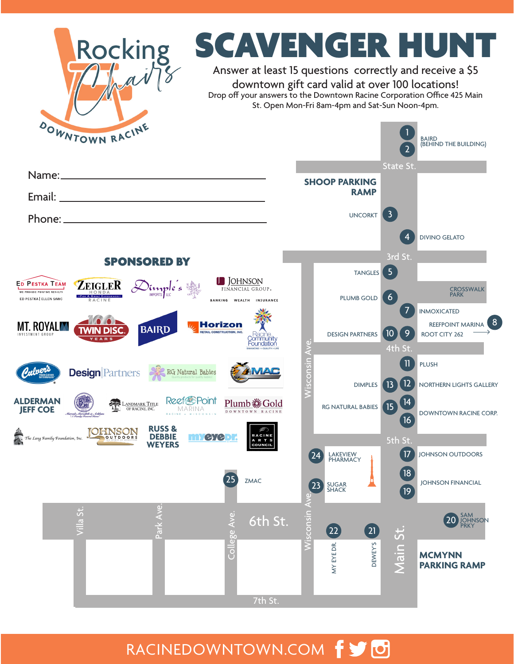| <b>SCAVENGER HUNT</b><br>Rocking<br>OOWNTOWN RACINE                                                                                                                                                                                                                                                                                                                                                                                                                                                                                                                                                                                                                                                | Answer at least 15 questions correctly and receive a \$5<br>downtown gift card valid at over 100 locations!<br>Drop off your answers to the Downtown Racine Corporation Office 425 Main<br>St. Open Mon-Fri 8am-4pm and Sat-Sun Noon-4pm. |                                    | <b>BAIRD</b><br>(BEHIND THE BUILDING)         |
|----------------------------------------------------------------------------------------------------------------------------------------------------------------------------------------------------------------------------------------------------------------------------------------------------------------------------------------------------------------------------------------------------------------------------------------------------------------------------------------------------------------------------------------------------------------------------------------------------------------------------------------------------------------------------------------------------|-------------------------------------------------------------------------------------------------------------------------------------------------------------------------------------------------------------------------------------------|------------------------------------|-----------------------------------------------|
|                                                                                                                                                                                                                                                                                                                                                                                                                                                                                                                                                                                                                                                                                                    |                                                                                                                                                                                                                                           | State St.                          |                                               |
|                                                                                                                                                                                                                                                                                                                                                                                                                                                                                                                                                                                                                                                                                                    | <b>SHOOP PARKING</b><br><b>RAMP</b>                                                                                                                                                                                                       |                                    |                                               |
|                                                                                                                                                                                                                                                                                                                                                                                                                                                                                                                                                                                                                                                                                                    | <b>UNCORKT</b>                                                                                                                                                                                                                            | $\overline{3}$                     |                                               |
|                                                                                                                                                                                                                                                                                                                                                                                                                                                                                                                                                                                                                                                                                                    |                                                                                                                                                                                                                                           |                                    | <b>DIVINO GELATO</b>                          |
| <b>SPONSORED BY</b>                                                                                                                                                                                                                                                                                                                                                                                                                                                                                                                                                                                                                                                                                |                                                                                                                                                                                                                                           | 3rd St.                            |                                               |
| <b>D</b> JOHNSON                                                                                                                                                                                                                                                                                                                                                                                                                                                                                                                                                                                                                                                                                   | <b>TANGLES</b>                                                                                                                                                                                                                            | 5 <sub>5</sub>                     |                                               |
| <b>ZEIGLER</b><br>ED PESTKA TEAM<br>Dimple s<br><b>FINANCIAL GROUP</b><br>WE PROVIDE POSITIVE RESULTS<br>ED PESTKA   ELLEN SIMIC<br>BANKING WEALTH INSURANCE                                                                                                                                                                                                                                                                                                                                                                                                                                                                                                                                       | <b>PLUMB GOLD</b>                                                                                                                                                                                                                         | 6                                  | <b>CROSSWALK</b><br>PARK                      |
|                                                                                                                                                                                                                                                                                                                                                                                                                                                                                                                                                                                                                                                                                                    |                                                                                                                                                                                                                                           |                                    | <b>INMOXICATED</b>                            |
| <b>Horizon</b><br>MT. ROYALIX<br><b>BAIRD</b><br><b>RETAIL CONSTRUCTION, INC.</b>                                                                                                                                                                                                                                                                                                                                                                                                                                                                                                                                                                                                                  | <b>DESIGN PARTNERS</b>                                                                                                                                                                                                                    | 9<br>10 <sup>°</sup>               | 8<br><b>REEFPOINT MARINA</b><br>ROOT CITY 262 |
|                                                                                                                                                                                                                                                                                                                                                                                                                                                                                                                                                                                                                                                                                                    |                                                                                                                                                                                                                                           | 4th St.                            |                                               |
| <b>Design</b> Partners RG Natural Babies                                                                                                                                                                                                                                                                                                                                                                                                                                                                                                                                                                                                                                                           |                                                                                                                                                                                                                                           | 11                                 | <b>PLUSH</b>                                  |
|                                                                                                                                                                                                                                                                                                                                                                                                                                                                                                                                                                                                                                                                                                    | <b>DIMPLES</b>                                                                                                                                                                                                                            |                                    | NORTHERN LIGHTS GALLERY                       |
| <b>ALDERMAN</b><br>Reef <sup>&amp;</sup> Point<br>Plumb <b>※ Gold</b><br>LANDMARK TITLE<br><b>JEFF COE</b><br>MARINA<br>DOWNTOWN<br>esh» Meredith & Achlan<br>C <del>haid</del> a Tan                                                                                                                                                                                                                                                                                                                                                                                                                                                                                                              | RG NATURAL BABIES                                                                                                                                                                                                                         | $\left( \frac{1}{4} \right)$<br>15 | DOWNTOWN RACINE CORP.                         |
| <b>RUSS &amp; DEBBIE</b><br>$\mathscr{D}$<br><b>OHNSON</b>                                                                                                                                                                                                                                                                                                                                                                                                                                                                                                                                                                                                                                         |                                                                                                                                                                                                                                           | $\frac{1}{6}$                      |                                               |
| <b>RACINE</b><br>$\begin{tabular}{ c c } \hline \quad \quad & \quad \quad & \quad \quad & \quad \quad \\ \hline \quad \quad & \quad \quad & \quad \quad & \quad \quad \\ \hline \quad \quad & \quad \quad & \quad \quad & \quad \quad \\ \hline \quad \quad & \quad \quad & \quad \quad & \quad \quad \\ \hline \quad \quad & \quad \quad & \quad \quad & \quad \quad \\ \hline \quad \quad & \quad \quad & \quad \quad & \quad \quad \\ \hline \quad \quad & \quad \quad & \quad \quad & \quad \quad \\ \hline \quad \quad & \quad \quad & \quad \quad & \quad \quad \\ \hline \quad \quad & \quad \quad & \quad \quad & \quad \quad \\ \$<br>m eye<br>D 6<br>A R T S<br>COUNCIL<br><b>WEYERS</b> |                                                                                                                                                                                                                                           | 5th St.                            |                                               |
|                                                                                                                                                                                                                                                                                                                                                                                                                                                                                                                                                                                                                                                                                                    | 24<br>LAKEVIEW<br>PHARMACY                                                                                                                                                                                                                | 17                                 | <b>JOHNSON OUTDOORS</b>                       |
| 25<br><b>ZMAC</b>                                                                                                                                                                                                                                                                                                                                                                                                                                                                                                                                                                                                                                                                                  | 23<br>SUGAR<br>SHACK                                                                                                                                                                                                                      | (18)<br>$\overline{19}$            | <b>JOHNSON FINANCIAL</b>                      |
|                                                                                                                                                                                                                                                                                                                                                                                                                                                                                                                                                                                                                                                                                                    |                                                                                                                                                                                                                                           |                                    |                                               |
| Park Ave<br>villa St.<br>College Ave<br>6th St.                                                                                                                                                                                                                                                                                                                                                                                                                                                                                                                                                                                                                                                    | sconsi<br>(22)<br>$\begin{array}{c} \boxed{21} \end{array}$                                                                                                                                                                               |                                    | SAM<br>JOHNSON<br>PRKY<br>$\left( 20\right)$  |
|                                                                                                                                                                                                                                                                                                                                                                                                                                                                                                                                                                                                                                                                                                    |                                                                                                                                                                                                                                           | $\frac{1}{2}$                      |                                               |
|                                                                                                                                                                                                                                                                                                                                                                                                                                                                                                                                                                                                                                                                                                    | DEWEY'S<br>EYE DR<br>$\mathop{\mathsf{Y}}\nolimits$                                                                                                                                                                                       | Main                               | <b>MCMYNN</b><br><b>PARKING RAMP</b>          |
|                                                                                                                                                                                                                                                                                                                                                                                                                                                                                                                                                                                                                                                                                                    |                                                                                                                                                                                                                                           |                                    |                                               |
| 7th St.                                                                                                                                                                                                                                                                                                                                                                                                                                                                                                                                                                                                                                                                                            |                                                                                                                                                                                                                                           |                                    |                                               |

RACINEDOWNTOWN.COM  $f$  o